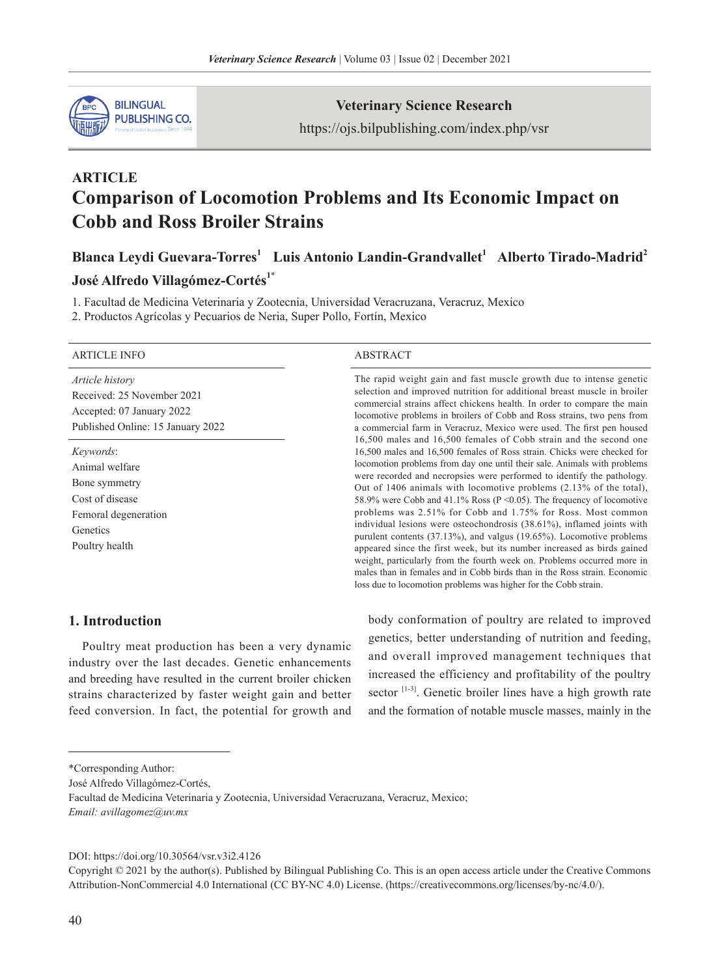

**Veterinary Science Research**

https://ojs.bilpublishing.com/index.php/vsr

# **ARTICLE Comparison of Locomotion Problems and Its Economic Impact on Cobb and Ross Broiler Strains**

Blanca Leydi Guevara-Torres<sup>1</sup> Luis Antonio Landin-Grandvallet<sup>1</sup> Alberto Tirado-Madrid<sup>2</sup>

# **José Alfredo Villagómez-Cortés1**\*

1. Facultad de Medicina Veterinaria y Zootecnia, Universidad Veracruzana, Veracruz, Mexico

2. Productos Agrícolas y Pecuarios de Neria, Super Pollo, Fortín, Mexico

#### ARTICLE INFO ABSTRACT

*Article history* Received: 25 November 2021 Accepted: 07 January 2022 Published Online: 15 January 2022

*Keywords*: Animal welfare Bone symmetry Cost of disease Femoral degeneration Genetics Poultry health

The rapid weight gain and fast muscle growth due to intense genetic selection and improved nutrition for additional breast muscle in broiler commercial strains affect chickens health. In order to compare the main locomotive problems in broilers of Cobb and Ross strains, two pens from a commercial farm in Veracruz, Mexico were used. The first pen housed 16,500 males and 16,500 females of Cobb strain and the second one 16,500 males and 16,500 females of Ross strain. Chicks were checked for locomotion problems from day one until their sale. Animals with problems were recorded and necropsies were performed to identify the pathology. Out of 1406 animals with locomotive problems (2.13% of the total), 58.9% were Cobb and 41.1% Ross ( $P \le 0.05$ ). The frequency of locomotive problems was 2.51% for Cobb and 1.75% for Ross. Most common individual lesions were osteochondrosis (38.61%), inflamed joints with purulent contents (37.13%), and valgus (19.65%). Locomotive problems appeared since the first week, but its number increased as birds gained weight, particularly from the fourth week on. Problems occurred more in males than in females and in Cobb birds than in the Ross strain. Economic loss due to locomotion problems was higher for the Cobb strain.

# **1. Introduction**

Poultry meat production has been a very dynamic industry over the last decades. Genetic enhancements and breeding have resulted in the current broiler chicken strains characterized by faster weight gain and better feed conversion. In fact, the potential for growth and

body conformation of poultry are related to improved genetics, better understanding of nutrition and feeding, and overall improved management techniques that increased the efficiency and profitability of the poultry sector <sup>[1-3]</sup>. Genetic broiler lines have a high growth rate and the formation of notable muscle masses, mainly in the

José Alfredo Villagómez-Cortés,

DOI: https://doi.org/10.30564/vsr.v3i2.4126

Copyright © 2021 by the author(s). Published by Bilingual Publishing Co. This is an open access article under the Creative Commons Attribution-NonCommercial 4.0 International (CC BY-NC 4.0) License. (https://creativecommons.org/licenses/by-nc/4.0/).

<sup>\*</sup>Corresponding Author:

Facultad de Medicina Veterinaria y Zootecnia, Universidad Veracruzana, Veracruz, Mexico; *Email: avillagomez@uv.mx*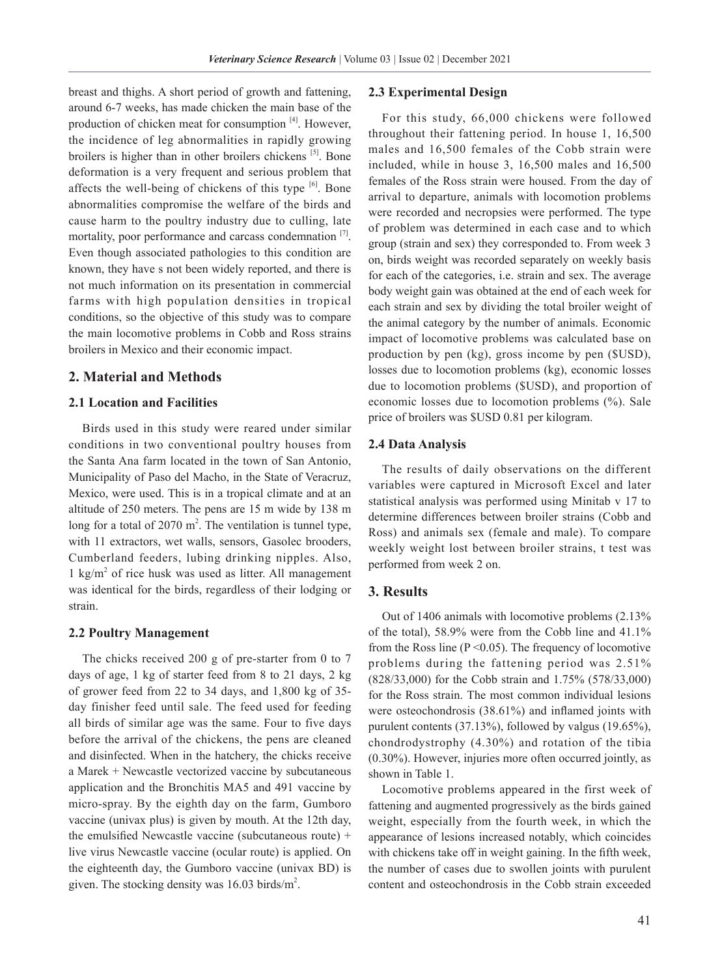breast and thighs. A short period of growth and fattening, around 6-7 weeks, has made chicken the main base of the production of chicken meat for consumption [4]. However, the incidence of leg abnormalities in rapidly growing broilers is higher than in other broilers chickens [5]. Bone deformation is a very frequent and serious problem that affects the well-being of chickens of this type  $[6]$ . Bone abnormalities compromise the welfare of the birds and cause harm to the poultry industry due to culling, late mortality, poor performance and carcass condemnation  $[7]$ . Even though associated pathologies to this condition are known, they have s not been widely reported, and there is not much information on its presentation in commercial farms with high population densities in tropical conditions, so the objective of this study was to compare the main locomotive problems in Cobb and Ross strains broilers in Mexico and their economic impact.

#### **2. Material and Methods**

#### **2.1 Location and Facilities**

Birds used in this study were reared under similar conditions in two conventional poultry houses from the Santa Ana farm located in the town of San Antonio, Municipality of Paso del Macho, in the State of Veracruz, Mexico, were used. This is in a tropical climate and at an altitude of 250 meters. The pens are 15 m wide by 138 m long for a total of  $2070 \text{ m}^2$ . The ventilation is tunnel type, with 11 extractors, wet walls, sensors, Gasolec brooders, Cumberland feeders, lubing drinking nipples. Also, 1 kg/m<sup>2</sup> of rice husk was used as litter. All management was identical for the birds, regardless of their lodging or strain.

#### **2.2 Poultry Management**

The chicks received 200 g of pre-starter from 0 to 7 days of age, 1 kg of starter feed from 8 to 21 days, 2 kg of grower feed from 22 to 34 days, and 1,800 kg of 35 day finisher feed until sale. The feed used for feeding all birds of similar age was the same. Four to five days before the arrival of the chickens, the pens are cleaned and disinfected. When in the hatchery, the chicks receive a Marek + Newcastle vectorized vaccine by subcutaneous application and the Bronchitis MA5 and 491 vaccine by micro-spray. By the eighth day on the farm, Gumboro vaccine (univax plus) is given by mouth. At the 12th day, the emulsified Newcastle vaccine (subcutaneous route) + live virus Newcastle vaccine (ocular route) is applied. On the eighteenth day, the Gumboro vaccine (univax BD) is given. The stocking density was  $16.03$  birds/m<sup>2</sup>.

#### **2.3 Experimental Design**

For this study, 66,000 chickens were followed throughout their fattening period. In house 1, 16,500 males and 16,500 females of the Cobb strain were included, while in house 3, 16,500 males and 16,500 females of the Ross strain were housed. From the day of arrival to departure, animals with locomotion problems were recorded and necropsies were performed. The type of problem was determined in each case and to which group (strain and sex) they corresponded to. From week 3 on, birds weight was recorded separately on weekly basis for each of the categories, i.e. strain and sex. The average body weight gain was obtained at the end of each week for each strain and sex by dividing the total broiler weight of the animal category by the number of animals. Economic impact of locomotive problems was calculated base on production by pen (kg), gross income by pen (\$USD), losses due to locomotion problems (kg), economic losses due to locomotion problems (\$USD), and proportion of economic losses due to locomotion problems (%). Sale price of broilers was \$USD 0.81 per kilogram.

#### **2.4 Data Analysis**

The results of daily observations on the different variables were captured in Microsoft Excel and later statistical analysis was performed using Minitab v 17 to determine differences between broiler strains (Cobb and Ross) and animals sex (female and male). To compare weekly weight lost between broiler strains, t test was performed from week 2 on.

# **3. Results**

Out of 1406 animals with locomotive problems (2.13% of the total), 58.9% were from the Cobb line and 41.1% from the Ross line  $(P \le 0.05)$ . The frequency of locomotive problems during the fattening period was 2.51% (828/33,000) for the Cobb strain and 1.75% (578/33,000) for the Ross strain. The most common individual lesions were osteochondrosis (38.61%) and inflamed joints with purulent contents (37.13%), followed by valgus (19.65%), chondrodystrophy (4.30%) and rotation of the tibia (0.30%). However, injuries more often occurred jointly, as shown in Table 1.

Locomotive problems appeared in the first week of fattening and augmented progressively as the birds gained weight, especially from the fourth week, in which the appearance of lesions increased notably, which coincides with chickens take off in weight gaining. In the fifth week, the number of cases due to swollen joints with purulent content and osteochondrosis in the Cobb strain exceeded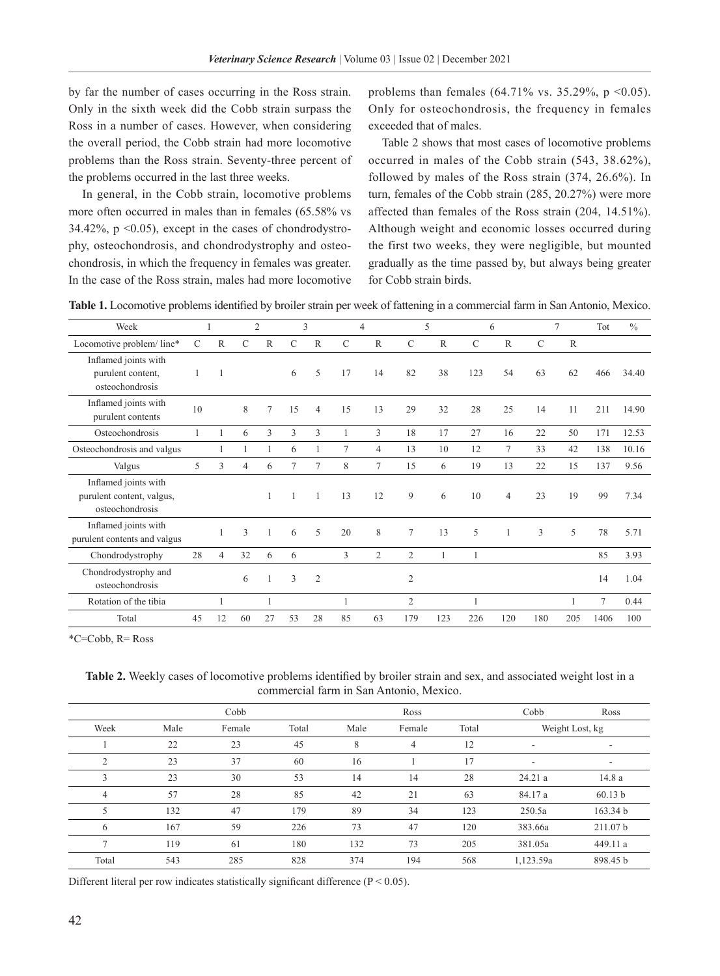by far the number of cases occurring in the Ross strain. Only in the sixth week did the Cobb strain surpass the Ross in a number of cases. However, when considering the overall period, the Cobb strain had more locomotive problems than the Ross strain. Seventy-three percent of the problems occurred in the last three weeks.

In general, in the Cobb strain, locomotive problems more often occurred in males than in females (65.58% vs 34.42%,  $p \leq 0.05$ , except in the cases of chondrodystrophy, osteochondrosis, and chondrodystrophy and osteochondrosis, in which the frequency in females was greater. In the case of the Ross strain, males had more locomotive problems than females (64.71% vs. 35.29%,  $p \le 0.05$ ). Only for osteochondrosis, the frequency in females exceeded that of males.

Table 2 shows that most cases of locomotive problems occurred in males of the Cobb strain (543, 38.62%), followed by males of the Ross strain (374, 26.6%). In turn, females of the Cobb strain (285, 20.27%) were more affected than females of the Ross strain (204, 14.51%). Although weight and economic losses occurred during the first two weeks, they were negligible, but mounted gradually as the time passed by, but always being greater for Cobb strain birds.

**Table 1.** Locomotive problems identified by broiler strain per week of fattening in a commercial farm in San Antonio, Mexico.

| Week                                                                 |               | 1              |               | $\overline{2}$ |               | 3              |               | $\overline{4}$ |                | 5   | 6             |                | $\overline{7}$ |              | Tot            | $\frac{0}{0}$ |
|----------------------------------------------------------------------|---------------|----------------|---------------|----------------|---------------|----------------|---------------|----------------|----------------|-----|---------------|----------------|----------------|--------------|----------------|---------------|
| Locomotive problem/ line*                                            | $\mathcal{C}$ | $\mathbb{R}$   | $\mathcal{C}$ | $\mathbb{R}$   | $\mathcal{C}$ | $\mathbb{R}$   | $\mathcal{C}$ | $\mathbb{R}$   | $\mathcal{C}$  | R   | $\mathcal{C}$ | $\mathbb{R}$   | $\mathcal{C}$  | $\mathbb{R}$ |                |               |
| Inflamed joints with<br>purulent content,<br>osteochondrosis         |               |                |               |                | 6             | 5              | 17            | 14             | 82             | 38  | 123           | 54             | 63             | 62           | 466            | 34.40         |
| Inflamed joints with<br>purulent contents                            | 10            |                | 8             | 7              | 15            | $\overline{4}$ | 15            | 13             | 29             | 32  | 28            | 25             | 14             | 11           | 211            | 14.90         |
| Osteochondrosis                                                      |               |                | 6             | 3              | 3             | 3              | 1             | 3              | 18             | 17  | 27            | 16             | 22             | 50           | 171            | 12.53         |
| Osteochondrosis and valgus                                           |               |                |               |                | 6             |                | 7             | 4              | 13             | 10  | 12            | $\tau$         | 33             | 42           | 138            | 10.16         |
| Valgus                                                               | 5             | 3              | 4             | 6              | 7             | 7              | 8             | 7              | 15             | 6   | 19            | 13             | 22             | 15           | 137            | 9.56          |
| Inflamed joints with<br>purulent content, valgus,<br>osteochondrosis |               |                |               |                |               |                | 13            | 12             | 9              | 6   | 10            | $\overline{4}$ | 23             | 19           | 99             | 7.34          |
| Inflamed joints with<br>purulent contents and valgus                 |               |                | $\mathcal{F}$ |                | 6             | 5              | 20            | 8              | 7              | 13  | 5             |                | 3              | 5            | 78             | 5.71          |
| Chondrodystrophy                                                     | 28            | $\overline{4}$ | 32            | 6              | 6             |                | 3             | $\overline{2}$ | $\overline{2}$ |     | 1             |                |                |              | 85             | 3.93          |
| Chondrodystrophy and<br>osteochondrosis                              |               |                | 6             |                | 3             | $\overline{2}$ |               |                | $\overline{2}$ |     |               |                |                |              | 14             | 1.04          |
| Rotation of the tibia                                                |               |                |               |                |               |                | $\mathbf{1}$  |                | $\mathfrak{2}$ |     | 1             |                |                | 1            | $\overline{7}$ | 0.44          |
| Total                                                                | 45            | 12             | 60            | 27             | 53            | 28             | 85            | 63             | 179            | 123 | 226           | 120            | 180            | 205          | 1406           | 100           |

\*C=Cobb, R= Ross

**Table 2.** Weekly cases of locomotive problems identified by broiler strain and sex, and associated weight lost in a commercial farm in San Antonio, Mexico.

|                |      | Cobb   |       |      | Ross   |       | Cobb                     | Ross     |  |
|----------------|------|--------|-------|------|--------|-------|--------------------------|----------|--|
| Week           | Male | Female | Total | Male | Female | Total | Weight Lost, kg          |          |  |
|                | 22   | 23     | 45    | 8    | 4      | 12    | $\overline{\phantom{a}}$ | ۰        |  |
| 2              | 23   | 37     | 60    | 16   |        | 17    |                          |          |  |
| 3              | 23   | 30     | 53    | 14   | 14     | 28    | 24.21a                   | 14.8 a   |  |
| $\overline{4}$ | 57   | 28     | 85    | 42   | 21     | 63    | 84.17 a                  | 60.13 b  |  |
| 5              | 132  | 47     | 179   | 89   | 34     | 123   | 250.5a                   | 163.34 b |  |
| 6              | 167  | 59     | 226   | 73   | 47     | 120   | 383.66a                  | 211.07 b |  |
|                | 119  | 61     | 180   | 132  | 73     | 205   | 381.05a                  | 449.11 a |  |
| Total          | 543  | 285    | 828   | 374  | 194    | 568   | 1,123.59a                | 898.45 b |  |

Different literal per row indicates statistically significant difference  $(P < 0.05)$ .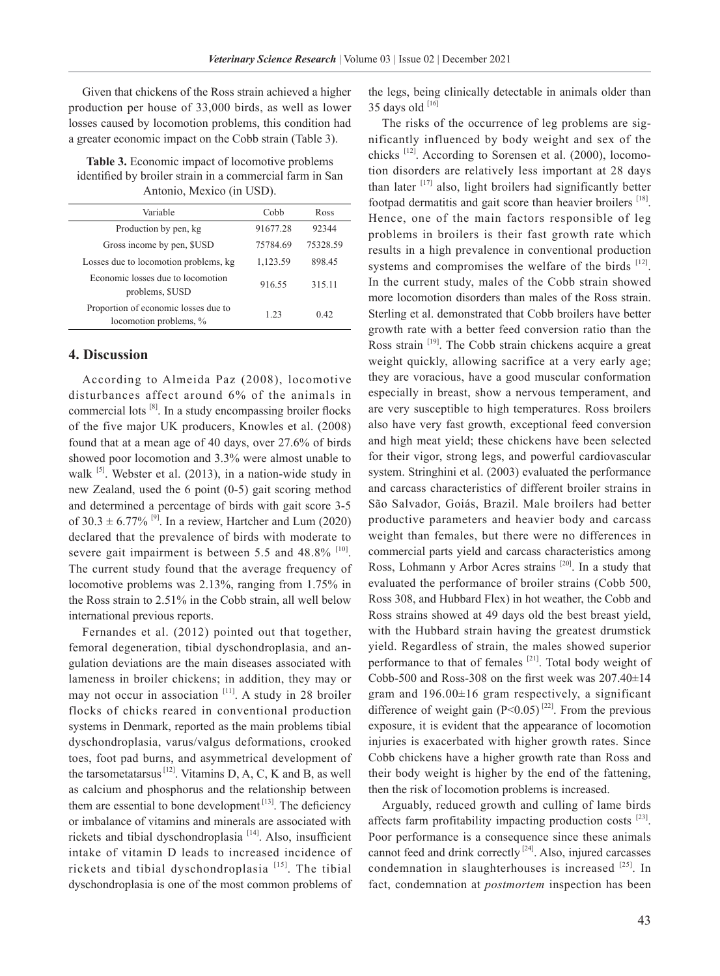Given that chickens of the Ross strain achieved a higher production per house of 33,000 birds, as well as lower losses caused by locomotion problems, this condition had a greater economic impact on the Cobb strain (Table 3).

**Table 3.** Economic impact of locomotive problems identified by broiler strain in a commercial farm in San Antonio, Mexico (in USD).

| Variable                                                       | Cobb     | Ross     |  |  |
|----------------------------------------------------------------|----------|----------|--|--|
| Production by pen, kg                                          | 91677.28 | 92344    |  |  |
| Gross income by pen, \$USD                                     | 75784.69 | 75328.59 |  |  |
| Losses due to locomotion problems, kg                          | 1,123.59 | 898.45   |  |  |
| Economic losses due to locomotion<br>problems, \$USD           | 916.55   | 315.11   |  |  |
| Proportion of economic losses due to<br>locomotion problems, % | 1 23     | 0.42     |  |  |

# **4. Discussion**

According to Almeida Paz (2008), locomotive disturbances affect around 6% of the animals in commercial lots  $[8]$ . In a study encompassing broiler flocks of the five major UK producers, Knowles et al. (2008) found that at a mean age of 40 days, over 27.6% of birds showed poor locomotion and 3.3% were almost unable to walk <sup>[5]</sup>. Webster et al. (2013), in a nation-wide study in new Zealand, used the 6 point (0-5) gait scoring method and determined a percentage of birds with gait score 3-5 of  $30.3 \pm 6.77\%$  <sup>[9]</sup>. In a review, Hartcher and Lum (2020) declared that the prevalence of birds with moderate to severe gait impairment is between 5.5 and  $48.8\%$ <sup>[10]</sup>. The current study found that the average frequency of locomotive problems was 2.13%, ranging from 1.75% in the Ross strain to 2.51% in the Cobb strain, all well below international previous reports.

Fernandes et al. (2012) pointed out that together, femoral degeneration, tibial dyschondroplasia, and angulation deviations are the main diseases associated with lameness in broiler chickens; in addition, they may or may not occur in association [11]. A study in 28 broiler flocks of chicks reared in conventional production systems in Denmark, reported as the main problems tibial dyschondroplasia, varus/valgus deformations, crooked toes, foot pad burns, and asymmetrical development of the tarsometatarsus  $[12]$ . Vitamins D, A, C, K and B, as well as calcium and phosphorus and the relationship between them are essential to bone development  $[13]$ . The deficiency or imbalance of vitamins and minerals are associated with rickets and tibial dyschondroplasia<sup>[14]</sup>. Also, insufficient intake of vitamin D leads to increased incidence of rickets and tibial dyschondroplasia [15]. The tibial dyschondroplasia is one of the most common problems of the legs, being clinically detectable in animals older than 35 days old  $^{[16]}$ 

The risks of the occurrence of leg problems are significantly influenced by body weight and sex of the chicks [12]. According to Sorensen et al. (2000), locomotion disorders are relatively less important at 28 days than later  $[17]$  also, light broilers had significantly better footpad dermatitis and gait score than heavier broilers <sup>[18]</sup>. Hence, one of the main factors responsible of leg problems in broilers is their fast growth rate which results in a high prevalence in conventional production systems and compromises the welfare of the birds [12]. In the current study, males of the Cobb strain showed more locomotion disorders than males of the Ross strain. Sterling et al. demonstrated that Cobb broilers have better growth rate with a better feed conversion ratio than the Ross strain [19]. The Cobb strain chickens acquire a great weight quickly, allowing sacrifice at a very early age; they are voracious, have a good muscular conformation especially in breast, show a nervous temperament, and are very susceptible to high temperatures. Ross broilers also have very fast growth, exceptional feed conversion and high meat yield; these chickens have been selected for their vigor, strong legs, and powerful cardiovascular system. Stringhini et al. (2003) evaluated the performance and carcass characteristics of different broiler strains in São Salvador, Goiás, Brazil. Male broilers had better productive parameters and heavier body and carcass weight than females, but there were no differences in commercial parts yield and carcass characteristics among Ross, Lohmann y Arbor Acres strains [20]. In a study that evaluated the performance of broiler strains (Cobb 500, Ross 308, and Hubbard Flex) in hot weather, the Cobb and Ross strains showed at 49 days old the best breast yield, with the Hubbard strain having the greatest drumstick yield. Regardless of strain, the males showed superior performance to that of females [21]. Total body weight of Cobb-500 and Ross-308 on the first week was 207.40±14 gram and 196.00±16 gram respectively, a significant difference of weight gain  $(P<0.05)$ <sup>[22]</sup>. From the previous exposure, it is evident that the appearance of locomotion injuries is exacerbated with higher growth rates. Since Cobb chickens have a higher growth rate than Ross and their body weight is higher by the end of the fattening, then the risk of locomotion problems is increased.

Arguably, reduced growth and culling of lame birds affects farm profitability impacting production costs [23]. Poor performance is a consequence since these animals cannot feed and drink correctly  $[24]$ . Also, injured carcasses condemnation in slaughterhouses is increased [25]. In fact, condemnation at *postmortem* inspection has been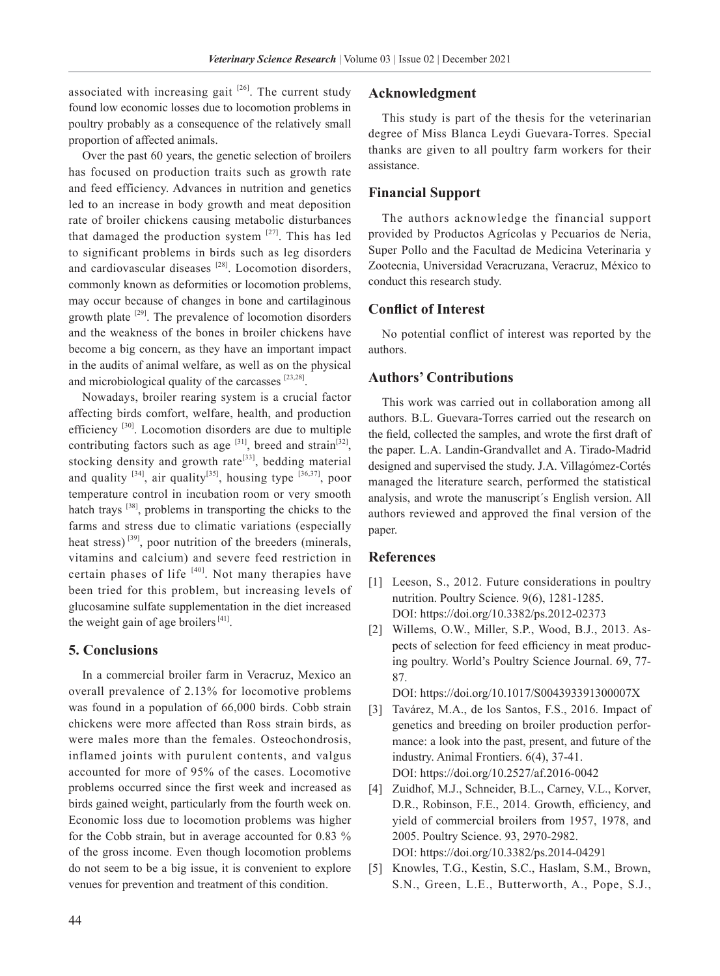associated with increasing gait  $[26]$ . The current study found low economic losses due to locomotion problems in poultry probably as a consequence of the relatively small proportion of affected animals.

Over the past 60 years, the genetic selection of broilers has focused on production traits such as growth rate and feed efficiency. Advances in nutrition and genetics led to an increase in body growth and meat deposition rate of broiler chickens causing metabolic disturbances that damaged the production system  $[27]$ . This has led to significant problems in birds such as leg disorders and cardiovascular diseases  $[28]$ . Locomotion disorders, commonly known as deformities or locomotion problems, may occur because of changes in bone and cartilaginous growth plate  $[29]$ . The prevalence of locomotion disorders and the weakness of the bones in broiler chickens have become a big concern, as they have an important impact in the audits of animal welfare, as well as on the physical and microbiological quality of the carcasses [23,28].

Nowadays, broiler rearing system is a crucial factor affecting birds comfort, welfare, health, and production efficiency [30]. Locomotion disorders are due to multiple contributing factors such as age  $[31]$ , breed and strain $[32]$ , stocking density and growth rate<sup>[33]</sup>, bedding material and quality  $[34]$ , air quality $[35]$ , housing type  $[36,37]$ , poor temperature control in incubation room or very smooth hatch trays  $[38]$ , problems in transporting the chicks to the farms and stress due to climatic variations (especially heat stress)<sup>[39]</sup>, poor nutrition of the breeders (minerals, vitamins and calcium) and severe feed restriction in certain phases of life  $[40]$ . Not many therapies have been tried for this problem, but increasing levels of glucosamine sulfate supplementation in the diet increased the weight gain of age broilers  $[41]$ .

### **5. Conclusions**

In a commercial broiler farm in Veracruz, Mexico an overall prevalence of 2.13% for locomotive problems was found in a population of 66,000 birds. Cobb strain chickens were more affected than Ross strain birds, as were males more than the females. Osteochondrosis, inflamed joints with purulent contents, and valgus accounted for more of 95% of the cases. Locomotive problems occurred since the first week and increased as birds gained weight, particularly from the fourth week on. Economic loss due to locomotion problems was higher for the Cobb strain, but in average accounted for 0.83 % of the gross income. Even though locomotion problems do not seem to be a big issue, it is convenient to explore venues for prevention and treatment of this condition.

### **Acknowledgment**

This study is part of the thesis for the veterinarian degree of Miss Blanca Leydi Guevara-Torres. Special thanks are given to all poultry farm workers for their assistance.

## **Financial Support**

The authors acknowledge the financial support provided by Productos Agrícolas y Pecuarios de Neria, Super Pollo and the Facultad de Medicina Veterinaria y Zootecnia, Universidad Veracruzana, Veracruz, México to conduct this research study.

# **Conflict of Interest**

No potential conflict of interest was reported by the authors.

# **Authors' Contributions**

This work was carried out in collaboration among all authors. B.L. Guevara-Torres carried out the research on the field, collected the samples, and wrote the first draft of the paper. L.A. Landin-Grandvallet and A. Tirado-Madrid designed and supervised the study. J.A. Villagómez-Cortés managed the literature search, performed the statistical analysis, and wrote the manuscript´s English version. All authors reviewed and approved the final version of the paper.

# **References**

- [1] Leeson, S., 2012. Future considerations in poultry nutrition. Poultry Science. 9(6), 1281-1285. DOI: https://doi.org/10.3382/ps.2012-02373
- [2] Willems, O.W., Miller, S.P., Wood, B.J., 2013. Aspects of selection for feed efficiency in meat producing poultry. World's Poultry Science Journal. 69, 77- 87.

DOI: https://doi.org/10.1017/S004393391300007X

- [3] Tavárez, M.A., de los Santos, F.S., 2016. Impact of genetics and breeding on broiler production performance: a look into the past, present, and future of the industry. Animal Frontiers. 6(4), 37-41. DOI: https://doi.org/10.2527/af.2016-0042
- [4] Zuidhof, M.J., Schneider, B.L., Carney, V.L., Korver, D.R., Robinson, F.E., 2014. Growth, efficiency, and yield of commercial broilers from 1957, 1978, and 2005. Poultry Science. 93, 2970-2982. DOI: https://doi.org/10.3382/ps.2014-04291
- [5] Knowles, T.G., Kestin, S.C., Haslam, S.M., Brown, S.N., Green, L.E., Butterworth, A., Pope, S.J.,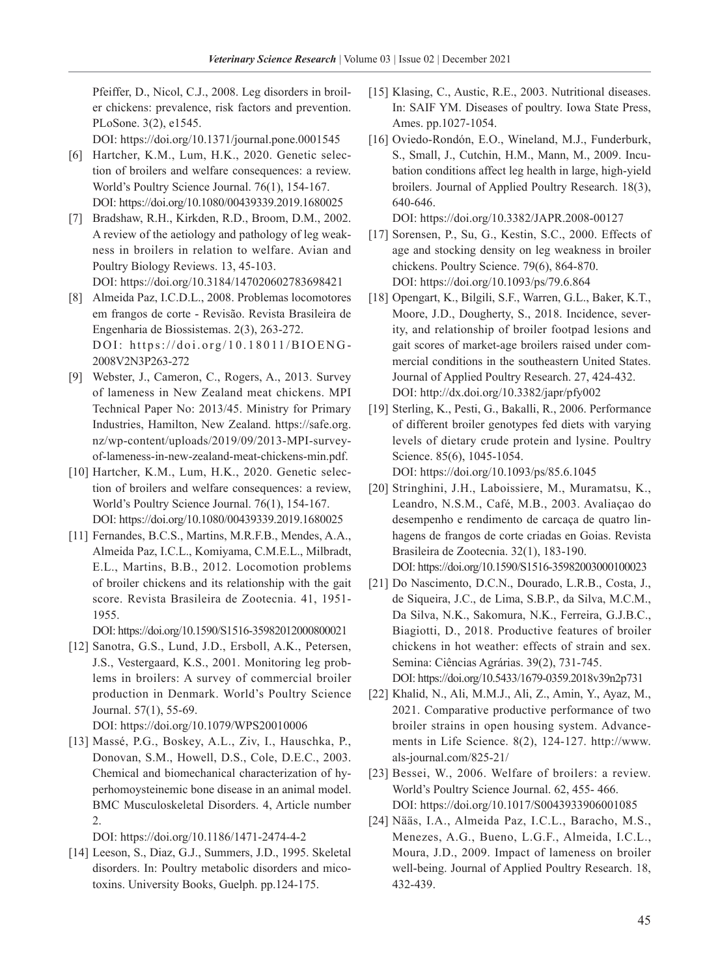Pfeiffer, D., Nicol, C.J., 2008. Leg disorders in broiler chickens: prevalence, risk factors and prevention. PLoSone. 3(2), e1545.

DOI: https://doi.org/10.1371/journal.pone.0001545

- [6] Hartcher, K.M., Lum, H.K., 2020. Genetic selection of broilers and welfare consequences: a review. World's Poultry Science Journal. 76(1), 154-167. DOI: https://doi.org/10.1080/00439339.2019.1680025
- [7] Bradshaw, R.H., Kirkden, R.D., Broom, D.M., 2002. A review of the aetiology and pathology of leg weakness in broilers in relation to welfare. Avian and Poultry Biology Reviews. 13, 45-103. DOI: https://doi.org/10.3184/147020602783698421
- [8] Almeida Paz, I.C.D.L., 2008. Problemas locomotores em frangos de corte - Revisão. Revista Brasileira de Engenharia de Biossistemas. 2(3), 263-272. DOI: https://doi.org/10.18011/BIOENG-2008V2N3P263-272
- [9] Webster, J., Cameron, C., Rogers, A., 2013. Survey of lameness in New Zealand meat chickens. MPI Technical Paper No: 2013/45. Ministry for Primary Industries, Hamilton, New Zealand. https://safe.org. nz/wp-content/uploads/2019/09/2013-MPI-surveyof-lameness-in-new-zealand-meat-chickens-min.pdf.
- [10] Hartcher, K.M., Lum, H.K., 2020. Genetic selection of broilers and welfare consequences: a review, World's Poultry Science Journal. 76(1), 154-167. DOI: https://doi.org/10.1080/00439339.2019.1680025
- [11] Fernandes, B.C.S., Martins, M.R.F.B., Mendes, A.A., Almeida Paz, I.C.L., Komiyama, C.M.E.L., Milbradt, E.L., Martins, B.B., 2012. Locomotion problems of broiler chickens and its relationship with the gait score. Revista Brasileira de Zootecnia. 41, 1951- 1955.

DOI: https://doi.org/10.1590/S1516-35982012000800021

[12] Sanotra, G.S., Lund, J.D., Ersboll, A.K., Petersen, J.S., Vestergaard, K.S., 2001. Monitoring leg problems in broilers: A survey of commercial broiler production in Denmark. World's Poultry Science Journal. 57(1), 55-69.

DOI: https://doi.org/10.1079/WPS20010006

[13] Massé, P.G., Boskey, A.L., Ziv, I., Hauschka, P., Donovan, S.M., Howell, D.S., Cole, D.E.C., 2003. Chemical and biomechanical characterization of hyperhomoysteinemic bone disease in an animal model. BMC Musculoskeletal Disorders. 4, Article number 2.

DOI: https://doi.org/10.1186/1471-2474-4-2

[14] Leeson, S., Diaz, G.J., Summers, J.D., 1995. Skeletal disorders. In: Poultry metabolic disorders and micotoxins. University Books, Guelph. pp.124-175.

- [15] Klasing, C., Austic, R.E., 2003. Nutritional diseases. In: SAIF YM. Diseases of poultry. Iowa State Press, Ames. pp.1027-1054.
- [16] Oviedo-Rondón, E.O., Wineland, M.J., Funderburk, S., Small, J., Cutchin, H.M., Mann, M., 2009. Incubation conditions affect leg health in large, high-yield broilers. Journal of Applied Poultry Research. 18(3), 640-646.

DOI: https://doi.org/10.3382/JAPR.2008-00127

- [17] Sorensen, P., Su, G., Kestin, S.C., 2000. Effects of age and stocking density on leg weakness in broiler chickens. Poultry Science. 79(6), 864-870. DOI: https://doi.org/10.1093/ps/79.6.864
- [18] Opengart, K., Bilgili, S.F., Warren, G.L., Baker, K.T., Moore, J.D., Dougherty, S., 2018. Incidence, severity, and relationship of broiler footpad lesions and gait scores of market-age broilers raised under commercial conditions in the southeastern United States. Journal of Applied Poultry Research. 27, 424-432. DOI: http://dx.doi.org/10.3382/japr/pfy002
- [19] Sterling, K., Pesti, G., Bakalli, R., 2006. Performance of different broiler genotypes fed diets with varying levels of dietary crude protein and lysine. Poultry Science. 85(6), 1045-1054. DOI: https://doi.org/10.1093/ps/85.6.1045

[20] Stringhini, J.H., Laboissiere, M., Muramatsu, K., Leandro, N.S.M., Café, M.B., 2003. Avaliaçao do desempenho e rendimento de carcaça de quatro linhagens de frangos de corte criadas en Goias. Revista

Brasileira de Zootecnia. 32(1), 183-190. DOI: https://doi.org/10.1590/S1516-35982003000100023 [21] Do Nascimento, D.C.N., Dourado, L.R.B., Costa, J.,

- de Siqueira, J.C., de Lima, S.B.P., da Silva, M.C.M., Da Silva, N.K., Sakomura, N.K., Ferreira, G.J.B.C., Biagiotti, D., 2018. Productive features of broiler chickens in hot weather: effects of strain and sex. Semina: Ciências Agrárias. 39(2), 731-745. DOI: https://doi.org/10.5433/1679-0359.2018v39n2p731
- [22] Khalid, N., Ali, M.M.J., Ali, Z., Amin, Y., Ayaz, M., 2021. Comparative productive performance of two broiler strains in open housing system. Advancements in Life Science. 8(2), 124-127. http://www. als-journal.com/825-21/
- [23] Bessei, W., 2006. Welfare of broilers: a review. World's Poultry Science Journal. 62, 455- 466. DOI: https://doi.org/10.1017/S0043933906001085
- [24] Nääs, I.A., Almeida Paz, I.C.L., Baracho, M.S., Menezes, A.G., Bueno, L.G.F., Almeida, I.C.L., Moura, J.D., 2009. Impact of lameness on broiler well-being. Journal of Applied Poultry Research. 18, 432-439.